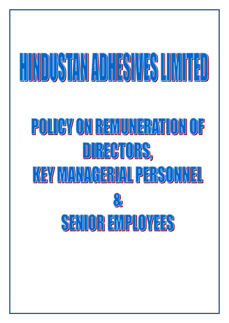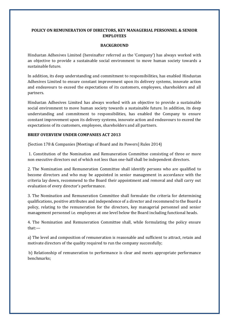# **POLICY ON REMUNERATION OF DIRECTORS, KEY MANAGERIAL PERSONNEL & SENIOR EMPLOYEES**

### **BACKGROUND**

Hindustan Adhesives Limited (hereinafter referred as the 'Company') has always worked with an objective to provide a sustainable social environment to move human society towards a sustainable future.

In addition, its deep understanding and commitment to responsibilities, has enabled Hindustan Adhesives Limited to ensure constant improvement upon its delivery systems, innovate action and endeavours to exceed the expectations of its customers, employees, shareholders and all partners.

Hindustan Adhesives Limited has always worked with an objective to provide a sustainable social environment to move human society towards a sustainable future. In addition, its deep understanding and commitment to responsibilities, has enabled the Company to ensure constant improvement upon its delivery systems, innovate action and endeavours to exceed the expectations of its customers, employees, shareholders and all partners.

## **BRIEF OVERVIEW UNDER COMPANIES ACT 2013**

{Section 178 & Companies [Meetings of Board and its Powers] Rules 2014}

1. Constitution of the Nomination and Remuneration Committee consisting of three or more non executive directors out of which not less than one-half shall be independent directors.

2. The Nomination and Remuneration Committee shall identify persons who are qualified to become directors and who may be appointed in senior management in accordance with the criteria lay down, recommend to the Board their appointment and removal and shall carry out evaluation of every director's performance.

3. The Nomination and Remuneration Committee shall formulate the criteria for determining qualifications, positive attributes and independence of a director and recommend to the Board a policy, relating to the remuneration for the directors, key managerial personnel and senior management personnel i.e. employees at one level below the Board including functional heads.

4. The Nomination and Remuneration Committee shall, while formulating the policy ensure that:—

a) The level and composition of remuneration is reasonable and sufficient to attract, retain and motivate directors of the quality required to run the company successfully;

b) Relationship of remuneration to performance is clear and meets appropriate performance benchmarks;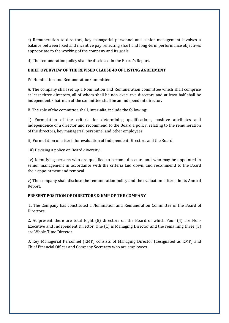c) Remuneration to directors, key managerial personnel and senior management involves a balance between fixed and incentive pay reflecting short and long-term performance objectives appropriate to the working of the company and its goals.

d) The remuneration policy shall be disclosed in the Board's Report.

# **BRIEF OVERVIEW OF THE REVISED CLAUSE 49 OF LISTING AGREEMENT**

IV. Nomination and Remuneration Committee

A. The company shall set up a Nomination and Remuneration committee which shall comprise at least three directors, all of whom shall be non-executive directors and at least half shall be independent. Chairman of the committee shall be an independent director.

B. The role of the committee shall, inter-alia, include the following:

i) Formulation of the criteria for determining qualifications, positive attributes and independence of a director and recommend to the Board a policy, relating to the remuneration of the directors, key managerial personnel and other employees;

ii) Formulation of criteria for evaluation of Independent Directors and the Board;

iii) Devising a policy on Board diversity;

iv) Identifying persons who are qualified to become directors and who may be appointed in senior management in accordance with the criteria laid down, and recommend to the Board their appointment and removal.

v) The company shall disclose the remuneration policy and the evaluation criteria in its Annual Report.

# **PRESENT POSITION OF DIRECTORS & KMP OF THE COMPANY**

1. The Company has constituted a Nomination and Remuneration Committee of the Board of Directors.

2. At present there are total Eight (8) directors on the Board of which Four (4) are Non-Executive and Independent Director, One (1) is Managing Director and the remaining three (3) are Whole Time Director.

3. Key Managerial Personnel (KMP) consists of Managing Director (designated as KMP) and Chief Financial Officer and Company Secretary who are employees.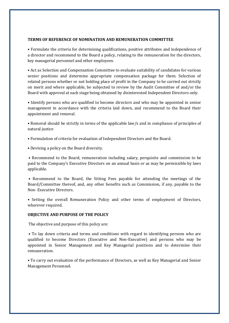#### **TERMS OF REFERENCE OF NOMINATION AND REMUNERATION COMMITTEE**

• Formulate the criteria for determining qualifications, positive attributes and independence of a director and recommend to the Board a policy, relating to the remuneration for the directors, key managerial personnel and other employees.

• Act as Selection and Compensation Committee to evaluate suitability of candidates for various senior positions and determine appropriate compensation package for them. Selection of related persons whether or not holding place of profit in the Company to be carried out strictly on merit and where applicable, be subjected to review by the Audit Committee of and/or the Board with approval at each stage being obtained by disinterested Independent Directors only.

• Identify persons who are qualified to become directors and who may be appointed in senior management in accordance with the criteria laid down, and recommend to the Board their appointment and removal.

• Removal should be strictly in terms of the applicable law/s and in compliance of principles of natural justice

- Formulation of criteria for evaluation of Independent Directors and the Board.
- Devising a policy on the Board diversity.

• Recommend to the Board, remuneration including salary, perquisite and commission to be paid to the Company's Executive Directors on an annual basis or as may be permissible by laws applicable.

• Recommend to the Board, the Sitting Fees payable for attending the meetings of the Board/Committee thereof, and, any other benefits such as Commission, if any, payable to the Non- Executive Directors.

• Setting the overall Remuneration Policy and other terms of employment of Directors, wherever required.

## **OBJECTIVE AND PURPOSE OF THE POLICY**

The objective and purpose of this policy are:

• To lay down criteria and terms and conditions with regard to identifying persons who are qualified to become Directors (Executive and Non-Executive) and persons who may be appointed in Senior Management and Key Managerial positions and to determine their remuneration.

• To carry out evaluation of the performance of Directors, as well as Key Managerial and Senior Management Personnel.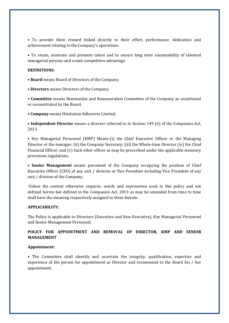• To provide them reward linked directly to their effort, performance, dedication and achievement relating to the Company's operations.

• To retain, motivate and promote talent and to ensure long term sustainability of talented managerial persons and create competitive advantage.

#### **DEFINITIONS:**

• **Board** means Board of Directors of the Company.

**• Directors** means Directors of the Company.

**• Committee** means Nomination and Remuneration Committee of the Company as constituted or reconstituted by the Board.

**• Company** means Hindustan Adhesives Limited.

**• Independent Director** means a director referred to in Section 149 (6) of the Companies Act, 2013.

• Key Managerial Personnel (KMP) Means-(i) the Chief Executive Officer or the Managing Director or the manager; (ii) the Company Secretary; (iii) the Whole-time Director (iv) the Chief Financial Officer; and (v) Such other officer as may be prescribed under the applicable statutory provisions regulations.

**• Senior Management** means personnel of the Company occupying the position of Chief Executive Officer (CEO) of any unit / division or Vice President including Vice President of any unit / division of the Company.

Unless the context otherwise requires, words and expressions used in this policy and not defined herein but defined in the Companies Act, 2013 as may be amended from time to time shall have the meaning respectively assigned to them therein.

### **APPLICABILITY:**

The Policy is applicable to Directors (Executive and Non-Executive), Key Managerial Personnel and Senior Management Personnel.

## **POLICY FOR APPOINTMENT AND REMOVAL OF DIRECTOR, KMP AND SENIOR MANAGEMENT**

### **Appointment:**

• The Committee shall identify and ascertain the integrity, qualification, expertise and experience of the person for appointment as Director and recommend to the Board his / her appointment.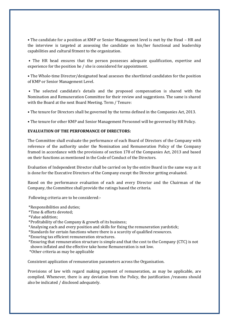• The candidate for a position at KMP or Senior Management level is met by the Head – HR and the interview is targeted at assessing the candidate on his/her functional and leadership capabilities and cultural fitment to the organization.

• The HR head ensures that the person possesses adequate qualification, expertise and experience for the position he / she is considered for appointment.

• The Whole-time Director/designated head assesses the shortlisted candidates for the position of KMP or Senior Management Level.

• The selected candidate's details and the proposed compensation is shared with the Nomination and Remuneration Committee for their review and suggestions. The same is shared with the Board at the next Board Meeting. Term / Tenure:

• The tenure for Directors shall be governed by the terms defined in the Companies Act, 2013.

• The tenure for other KMP and Senior Management Personnel will be governed by HR Policy.

### **EVALUATION OF THE PERFORMANCE OF DIRECTORS:**

The Committee shall evaluate the performance of each Board of Directors of the Company with reference of the authority under the Nomination and Remuneration Policy of the Company framed in accordance with the provisions of section 178 of the Companies Act, 2013 and based on their functions as mentioned in the Code of Conduct of the Directors.

Evaluation of Independent Director shall be carried on by the entire Board in the same way as it is done for the Executive Directors of the Company except the Director getting evaluated.

Based on the performance evaluation of each and every Director and the Chairman of the Company, the Committee shall provide the ratings based the criteria.

Following criteria are to be considered:-

\*Responsibilities and duties;

\*Time & efforts devoted;

\*Value addition;

\*Profitability of the Company & growth of its business;

\*Analysing each and every position and skills for fixing the remuneration yardstick;

\*Standards for certain functions where there is a scarcity of qualified resources.

\*Ensuring tax efficient remuneration structures.

\*Ensuring that remuneration structure is simple and that the cost to the Company (CTC) is not shown inflated and the effective take home Remuneration is not low.

\*Other criteria as may be applicable

Consistent application of remuneration parameters across the Organisation.

Provisions of law with regard making payment of remuneration, as may be applicable, are complied. Whenever, there is any deviation from the Policy, the justification /reasons should also be indicated / disclosed adequately.